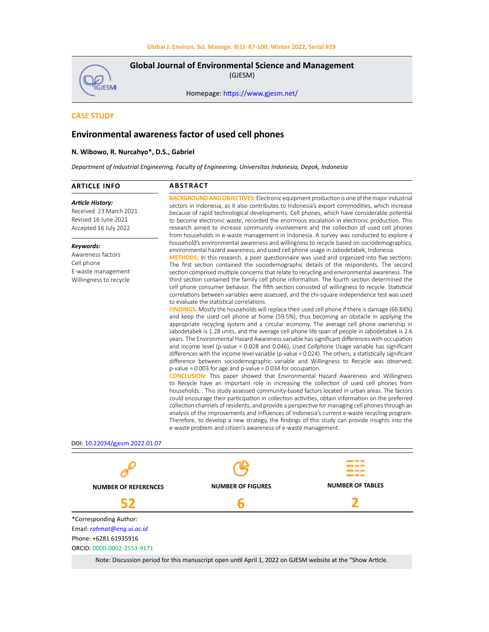GJESMI

**Global Journal of Environmental Science and Management**  (GJESM)

Homepage: [https://www.gjesm.net/](https://www.gjesm.net/ )

## **CASE STUDY**

# **Environmental awareness factor of used cell phones**

## **N. Wibowo, R. Nurcahyo\*, D.S., Gabriel**

*Department of Industrial Engineering, Faculty of Engineering, Universitas Indonesia, Depok, Indonesia*

| <b>Article History:</b><br>Received 23 March 2021<br>Revised 16 June 2021<br>Accepted 16 July 2022<br>Keywords:<br>environmental hazard awareness, and used cell phone usage in Jabodetabek, Indonesia.<br>Awareness factors<br>Cell phone<br>E-waste management<br>Willingness to recycle<br>to evaluate the statistical correlations.<br>$p$ -value = 0.003 for age and $p$ -value = 0.034 for occupation.<br>e-waste problem and citizen's awareness of e-waste management. | <b>ARTICLE INFO</b> | <b>ABSTRACT</b>                                                                                                                                                                                                                                                                                                                                                                                                                                                                                                                                                                                                                                                                                                                                                                                                                                                                                                                                                                                                                                                                                                                                                                                                                                                                                                                                                                                                                                                                                                                                                                                                                                                                                                                                                                                                                                                                                                                                                                                                                                                                                                                                                                                         |
|--------------------------------------------------------------------------------------------------------------------------------------------------------------------------------------------------------------------------------------------------------------------------------------------------------------------------------------------------------------------------------------------------------------------------------------------------------------------------------|---------------------|---------------------------------------------------------------------------------------------------------------------------------------------------------------------------------------------------------------------------------------------------------------------------------------------------------------------------------------------------------------------------------------------------------------------------------------------------------------------------------------------------------------------------------------------------------------------------------------------------------------------------------------------------------------------------------------------------------------------------------------------------------------------------------------------------------------------------------------------------------------------------------------------------------------------------------------------------------------------------------------------------------------------------------------------------------------------------------------------------------------------------------------------------------------------------------------------------------------------------------------------------------------------------------------------------------------------------------------------------------------------------------------------------------------------------------------------------------------------------------------------------------------------------------------------------------------------------------------------------------------------------------------------------------------------------------------------------------------------------------------------------------------------------------------------------------------------------------------------------------------------------------------------------------------------------------------------------------------------------------------------------------------------------------------------------------------------------------------------------------------------------------------------------------------------------------------------------------|
|                                                                                                                                                                                                                                                                                                                                                                                                                                                                                |                     | <b>BACKGROUND AND OBJECTIVES:</b> Electronic equipment production is one of the major industrial<br>sectors in Indonesia, as it also contributes to Indonesia's export commodities, which increase<br>because of rapid technological developments. Cell phones, which have considerable potential<br>to become electronic waste, recorded the enormous escalation in electronic production. This<br>research aimed to increase community involvement and the collection of used cell phones<br>from households in e-waste management in Indonesia. A survey was conducted to explore a                                                                                                                                                                                                                                                                                                                                                                                                                                                                                                                                                                                                                                                                                                                                                                                                                                                                                                                                                                                                                                                                                                                                                                                                                                                                                                                                                                                                                                                                                                                                                                                                                  |
|                                                                                                                                                                                                                                                                                                                                                                                                                                                                                |                     | household's environmental awareness and willingness to recycle based on sociodemographics,<br><b>METHODS:</b> In this research, a peer questionnaire was used and organized into five sections:<br>The first section contained the sociodemographic details of the respondents. The second<br>section comprised multiple concerns that relate to recycling and environmental awareness. The<br>third section contained the family cell phone information. The fourth section determined the<br>cell phone consumer behavior. The fifth section consisted of willingness to recycle. Statistical<br>correlations between variables were assessed, and the chi-square independence test was used<br><b>FINDINGS:</b> Mostly the households will replace their used cell phone if there is damage (66.84%)<br>and keep the used cell phone at home (59.5%), thus becoming an obstacle in applying the<br>appropriate recycling system and a circular economy. The average cell phone ownership in<br>Jabodetabek is 1.28 units, and the average cell phone life span of people in Jabodetabek is 2.6<br>years. The Environmental Hazard Awareness variable has significant differences with occupation<br>and income level (p-value = 0.028 and 0.046), Used Cellphone Usage variable has significant<br>differences with the income level variable (p-value = 0.024). The others, a statistically significant<br>difference between sociodemographic variable and Willingness to Recycle was observed;<br><b>CONCLUSION:</b> This paper showed that Environmental Hazard Awareness and Willingness<br>to Recycle have an important role in increasing the collection of used cell phones from<br>households. . This study assessed community-based factors located in urban areas. The factors<br>could encourage their participation in collection activities, obtain information on the preferred<br>collection channels of residents, and provide a perspective for managing cell phones through an<br>analysis of the improvements and influences of Indonesia's current e-waste recycling program.<br>Therefore, to develop a new strategy, the findings of this study can provide insights into the |
| DOI: 10.22034/gjesm.2022.01.07                                                                                                                                                                                                                                                                                                                                                                                                                                                 |                     |                                                                                                                                                                                                                                                                                                                                                                                                                                                                                                                                                                                                                                                                                                                                                                                                                                                                                                                                                                                                                                                                                                                                                                                                                                                                                                                                                                                                                                                                                                                                                                                                                                                                                                                                                                                                                                                                                                                                                                                                                                                                                                                                                                                                         |



Note: Discussion period for this manuscript open until April 1, 2022 on GJESM website at the "Show Article.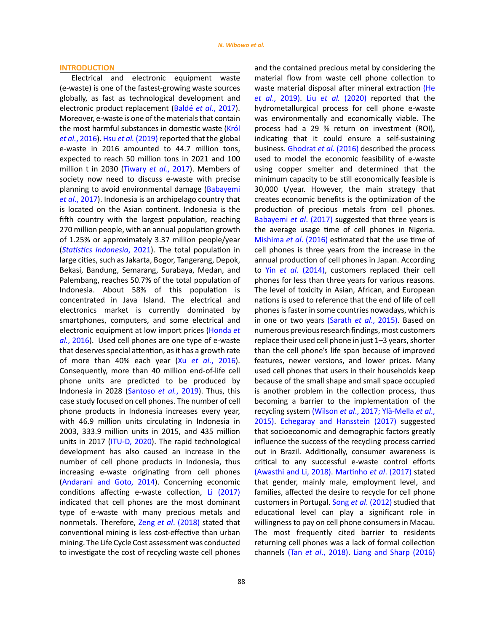#### **INTRODUCTION**

Electrical and electronic equipment waste (e-waste) is one of the fastest-growing waste sources globally, as fast as technological development and electronic product replacement (Baldé *et al.*[, 2017\).](#page-11-0)  Moreover, e-waste is one of the materials that contain the most harmful substances in domestic waste ([Król](#page-11-0)  *et al.*[, 2016\).](#page-11-0) Hsu *et al.* (2019) reported that the global e-waste in 2016 amounted to 44.7 million tons, expected to reach 50 million tons in 2021 and 100 million t in 2030 (Tiwary *et al.*[, 2017\).](#page-11-0) Members of society now need to discuss e-waste with precise planning to avoid environmental damage [\(Babayemi](#page-11-0)  *et al*[., 2017\)](#page-11-0). Indonesia is an archipelago country that is located on the Asian continent. Indonesia is the fifth country with the largest population, reaching 270 million people, with an annual population growth of 1.25% or approximately 3.37 million people/year (*[Statistics Indonesia](#page-11-0)*, 2021). The total population in large cities, such as Jakarta, Bogor, Tangerang, Depok, Bekasi, Bandung, Semarang, Surabaya, Medan, and Palembang, reaches 50.7% of the total population of Indonesia. About 58% of this population is concentrated in Java Island. The electrical and electronics market is currently dominated by smartphones, computers, and some electrical and electronic equipment at low import prices ([Honda](#page-11-0) *et al.*[, 2016\)](#page-11-0). Used cell phones are one type of e-waste that deserves special attention, as it has a growth rate of more than 40% each year (Xu *et al.*[, 2016\).](#page-11-0)  Consequently, more than 40 million end-of-life cell phone units are predicted to be produced by Indonesia in 2028 [\(Santoso](#page-11-0) *et al.*, 2019). Thus, this case study focused on cell phones. The number of cell phone products in Indonesia increases every year, with 46.9 million units circulating in Indonesia in 2003, 333.9 million units in 2015, and 435 million units in 2017 ([ITU-D, 2020\)](#page-11-0). The rapid technological development has also caused an increase in the number of cell phone products in Indonesia, thus increasing e-waste originating from cell phones ([Andarani and Goto, 2014\)](#page-11-0). Concerning economic conditions affecting e-waste collection, [Li \(2017\)](#page-11-0) indicated that cell phones are the most dominant type of e-waste with many precious metals and nonmetals. Therefore, Zeng *et al*[. \(2018\)](#page-11-0) stated that conventional mining is less cost-effective than urban mining. The Life Cycle Cost assessment was conducted to investigate the cost of recycling waste cell phones

88

and the contained precious metal by considering the material flow from waste cell phone collection to waste material disposal after mineral extraction [\(He](#page-11-0) *et al*[., 2019\).](#page-11-0) Liu *et al.* (2020) reported that the hydrometallurgical process for cell phone e-waste was environmentally and economically viable. The process had a 29 % return on investment (ROI), indicating that it could ensure a self-sustaining business. [Ghodrat](#page-11-0) *et al*. (2016) described the process used to model the economic feasibility of e-waste using copper smelter and determined that the minimum capacity to be still economically feasible is 30,000 t/year. However, the main strategy that creates economic benefits is the optimization of the production of precious metals from cell phones. [Babayemi](#page-11-0) *et al*. (2017) suggested that three years is the average usage time of cell phones in Nigeria. [Mishima](#page-11-0) *et al*. (2016) estimated that the use time of cell phones is three years from the increase in the annual production of cell phones in Japan. According to Yin *et al*[. \(2014\)](#page-11-0), customers replaced their cell phones for less than three years for various reasons. The level of toxicity in Asian, African, and European nations is used to reference that the end of life of cell phones is faster in some countries nowadays, which is in one or two years (Sarath *et al*[., 2015\).](#page-11-0) Based on numerous previous research findings, most customers replace their used cell phone in just 1–3 years, shorter than the cell phone's life span because of improved features, newer versions, and lower prices. Many used cell phones that users in their households keep because of the small shape and small space occupied is another problem in the collection process, thus becoming a barrier to the implementation of the recycling system (Wilson *et al*[., 2017; Ylä-Mella](#page-11-0) *et al*., 2015)[. Echegaray and Hansstein \(2017\)](#page-11-0) suggested that socioeconomic and demographic factors greatly influence the success of the recycling process carried out in Brazil. Additionally, consumer awareness is critical to any successful e-waste control efforts [\(Awasthi and Li, 2018\). Martinho](#page-11-0) *et al*. (2017) stated that gender, mainly male, employment level, and families, affected the desire to recycle for cell phone customers in Portugal. Song *et al*[. \(2012\)](#page-11-0) studied that educational level can play a significant role in willingness to pay on cell phone consumers in Macau. The most frequently cited barrier to residents returning cell phones was a lack of formal collection channels (Tan *et al*., 2018). [Liang and Sharp \(2016\)](#page-11-0)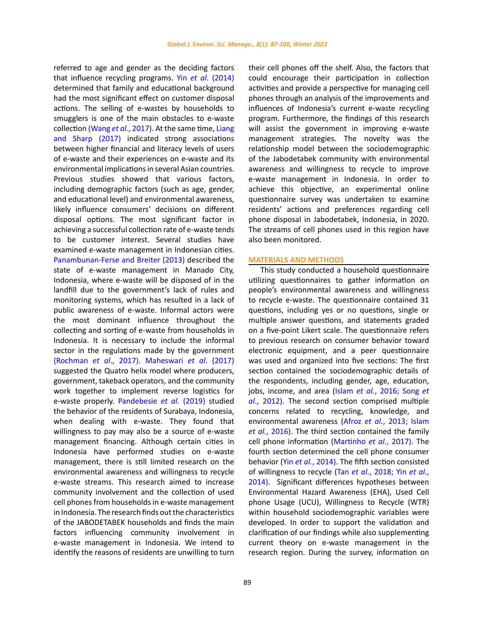referred to age and gender as the deciding factors that influence recycling programs. Yin *et al*[. \(2014\)](#page-11-0) determined that family and educational background had the most significant effect on customer disposal actions. The selling of e-wastes by households to smugglers is one of the main obstacles to e-waste collection (Wang *et al*[., 2017\). A](#page-11-0)t the same time, [Liang](#page-11-0)  [and Sharp \(2017\)](#page-11-0) indicated strong associations between higher financial and literacy levels of users of e-waste and their experiences on e-waste and its environmental implications in several Asian countries. Previous studies showed that various factors, including demographic factors (such as age, gender, and educational level) and environmental awareness, likely influence consumers' decisions on different disposal options. The most significant factor in achieving a successful collection rate of e-waste tends to be customer interest. Several studies have examined e-waste management in Indonesian cities. [Panambunan-Ferse and Breiter \(2013\)](#page-11-0) described the state of e-waste management in Manado City, Indonesia, where e-waste will be disposed of in the landfill due to the government's lack of rules and monitoring systems, which has resulted in a lack of public awareness of e-waste. Informal actors were the most dominant influence throughout the collecting and sorting of e-waste from households in Indonesia. It is necessary to include the informal sector in the regulations made by the government (Rochman *et al*[., 2017\). Maheswari](#page-11-0) *et al*. (2017) suggested the Quatro helix model where producers, government, takeback operators, and the community work together to implement reverse logistics for e-waste properly. [Pandebesie](#page-11-0) *et al.* (2019) studied the behavior of the residents of Surabaya, Indonesia, when dealing with e-waste. They found that willingness to pay may also be a source of e-waste management financing. Although certain cities in Indonesia have performed studies on e-waste management, there is still limited research on the environmental awareness and willingness to recycle e-waste streams. This research aimed to increase community involvement and the collection of used cell phones from households in e-waste management in Indonesia. The research finds out the characteristics of the JABODETABEK households and finds the main factors influencing community involvement in e-waste management in Indonesia. We intend to identify the reasons of residents are unwilling to turn their cell phones off the shelf. Also, the factors that could encourage their participation in collection activities and provide a perspective for managing cell phones through an analysis of the improvements and influences of Indonesia's current e-waste recycling program. Furthermore, the findings of this research will assist the government in improving e-waste management strategies. The novelty was the relationship model between the sociodemographic of the Jabodetabek community with environmental awareness and willingness to recycle to improve e-waste management in Indonesia. In order to achieve this objective, an experimental online questionnaire survey was undertaken to examine residents' actions and preferences regarding cell phone disposal in Jabodetabek, Indonesia, in 2020. The streams of cell phones used in this region have also been monitored.

## **MATERIALS AND METHODS**

This study conducted a household questionnaire utilizing questionnaires to gather information on people's environmental awareness and willingness to recycle e-waste. The questionnaire contained 31 questions, including yes or no questions, single or multiple answer questions, and statements graded on a five-point Likert scale. The questionnaire refers to previous research on consumer behavior toward electronic equipment, and a peer questionnaire was used and organized into five sections: The first section contained the sociodemographic details of the respondents, including gender, age, education, jobs, income, and area (Islam *et al.*[, 2016; Song](#page-11-0) *et al*[., 2012\).](#page-11-0) The second section comprised multiple concerns related to recycling, knowledge, and environmental awareness (Afroz *et al.*[, 2013; Islam](#page-11-0) *et al.*[, 2016\).](#page-11-0) The third section contained the family cell phone information [\(Martinho](#page-11-0) *et al.*, 2017). The fourth section determined the cell phone consumer behavior (Yin *et al.*[, 2014\)](#page-11-0). The fifth section consisted of willingness to recycle (Tan *et al.*[, 2018; Yin](#page-11-0) *et al.*, [2014\).](#page-11-0) Significant differences hypotheses between Environmental Hazard Awareness (EHA), Used Cell phone Usage (UCU), Willingness to Recycle (WTR) within household sociodemographic variables were developed. In order to support the validation and clarification of our findings while also supplementing current theory on e-waste management in the research region. During the survey, information on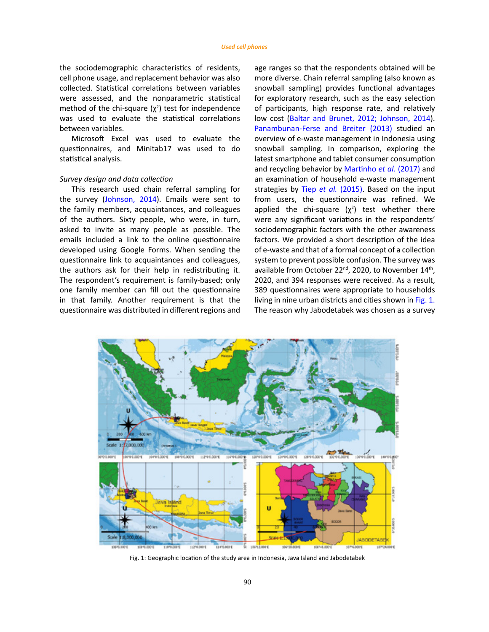the sociodemographic characteristics of residents, cell phone usage, and replacement behavior was also collected. Statistical correlations between variables were assessed, and the nonparametric statistical method of the chi-square  $(\chi^2)$  test for independence was used to evaluate the statistical correlations between variables.

Microsoft Excel was used to evaluate the questionnaires, and Minitab17 was used to do statistical analysis.

## *Survey design and data collection*

This research used chain referral sampling for the survey [\(Johnson, 2014\)](#page-11-0). Emails were sent to the family members, acquaintances, and colleagues of the authors. Sixty people, who were, in turn, asked to invite as many people as possible. The emails included a link to the online questionnaire developed using Google Forms. When sending the questionnaire link to acquaintances and colleagues, the authors ask for their help in redistributing it. The respondent's requirement is family-based; only one family member can fill out the questionnaire in that family. Another requirement is that the questionnaire was distributed in different regions and age ranges so that the respondents obtained will be more diverse. Chain referral sampling (also known as snowball sampling) provides functional advantages for exploratory research, such as the easy selection of participants, high response rate, and relatively low cost [\(Baltar and Brunet, 2012; Johnson, 2014\).](#page-11-0) [Panambunan-Ferse and Breiter \(2013\)](#page-11-0) studied an overview of e-waste management in Indonesia using snowball sampling. In comparison, exploring the latest smartphone and tablet consumer consumption and recycling behavior by [Martinho](#page-11-0) *et al.* (2017) and an examination of household e-waste management strategies by Tiep *et al.* [\(2015\)](#page-11-0). Based on the input from users, the questionnaire was refined. We applied the chi-square  $(\chi^2)$  test whether there were any significant variations in the respondents' sociodemographic factors with the other awareness factors. We provided a short description of the idea of e-waste and that of a formal concept of a collection system to prevent possible confusion. The survey was available from October 22<sup>nd</sup>, 2020, to November 14<sup>th</sup>, 2020, and 394 responses were received. As a result, 389 questionnaires were appropriate to households living in nine urban districts and cities shown in Fig. 1. The reason why Jabodetabek was chosen as a survey



Fig. 1: Geographic location of the study area in Indonesia, Java Island and Jabodetabek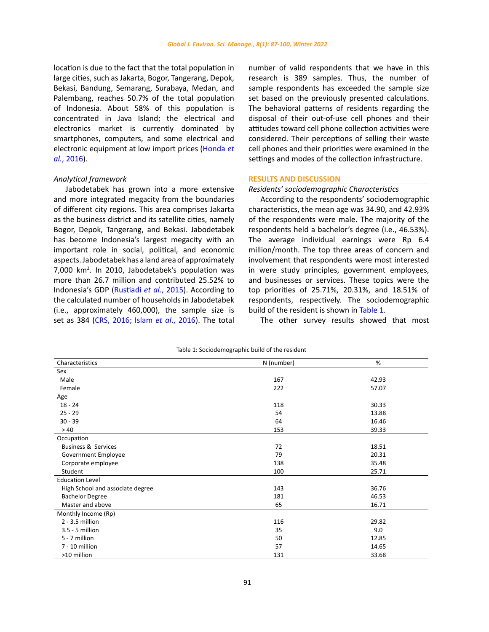location is due to the fact that the total population in large cities, such as Jakarta, Bogor, Tangerang, Depok, Bekasi, Bandung, Semarang, Surabaya, Medan, and Palembang, reaches 50.7% of the total population of Indonesia. About 58% of this population is concentrated in Java Island; the electrical and electronics market is currently dominated by smartphones, computers, and some electrical and electronic equipment at low import prices ([Honda](#page-11-0) *et al.*[, 2016\).](#page-11-0)

## *Analytical framework*

Jabodetabek has grown into a more extensive and more integrated megacity from the boundaries of different city regions. This area comprises Jakarta as the business district and its satellite cities, namely Bogor, Depok, Tangerang, and Bekasi. Jabodetabek has become Indonesia's largest megacity with an important role in social, political, and economic aspects. Jabodetabek has a land area of approximately 7,000 km<sup>2</sup> . In 2010, Jabodetabek's population was more than 26.7 million and contributed 25.52% to Indonesia's GDP ([Rustiadi](#page-11-0) *et al.*, 2015). According to the calculated number of households in Jabodetabek (i.e., approximately 460,000), the sample size is set as 384 [\(CRS, 2016; Islam](#page-11-0) *et al*., 2016). The total

number of valid respondents that we have in this research is 389 samples. Thus, the number of sample respondents has exceeded the sample size set based on the previously presented calculations. The behavioral patterns of residents regarding the disposal of their out-of-use cell phones and their attitudes toward cell phone collection activities were considered. Their perceptions of selling their waste cell phones and their priorities were examined in the settings and modes of the collection infrastructure.

## **RESULTS AND DISCUSSION**

## *Residents' sociodemographic Characteristics*

According to the respondents' sociodemographic characteristics, the mean age was 34.90, and 42.93% of the respondents were male. The majority of the respondents held a bachelor's degree (i.e., 46.53%). The average individual earnings were Rp 6.4 million/month. The top three areas of concern and involvement that respondents were most interested in were study principles, government employees, and businesses or services. These topics were the top priorities of 25.71%, 20.31%, and 18.51% of respondents, respectively. The sociodemographic build of the resident is shown in Table 1.

The other survey results showed that most

| Characteristics                  | N (number) | %     |
|----------------------------------|------------|-------|
| Sex                              |            |       |
| Male                             | 167        | 42.93 |
| Female                           | 222        | 57.07 |
| Age                              |            |       |
| $18 - 24$                        | 118        | 30.33 |
| $25 - 29$                        | 54         | 13.88 |
| $30 - 39$                        | 64         | 16.46 |
| >40                              | 153        | 39.33 |
| Occupation                       |            |       |
| <b>Business &amp; Services</b>   | 72         | 18.51 |
| Government Employee              | 79         | 20.31 |
| Corporate employee               | 138        | 35.48 |
| Student                          | 100        | 25.71 |
| <b>Education Level</b>           |            |       |
| High School and associate degree | 143        | 36.76 |
| <b>Bachelor Degree</b>           | 181        | 46.53 |
| Master and above                 | 65         | 16.71 |
| Monthly Income (Rp)              |            |       |
| $2 - 3.5$ million                | 116        | 29.82 |
| 3.5 - 5 million                  | 35         | 9.0   |
| 5 - 7 million                    | 50         | 12.85 |
| 7 - 10 million                   | 57         | 14.65 |
| >10 million                      | 131        | 33.68 |

Table 1: Sociodemographic build of the resident Table 1: Sociodemographic build of the resident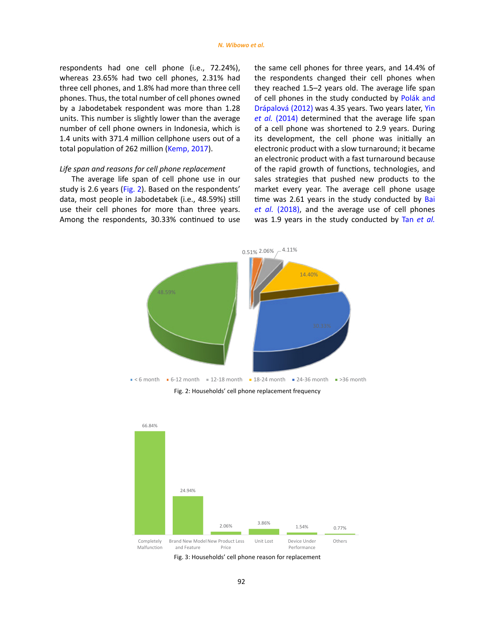<span id="page-5-0"></span>respondents had one cell phone (i.e., 72.24%), whereas 23.65% had two cell phones, 2.31% had three cell phones, and 1.8% had more than three cell phones. Thus, the total number of cell phones owned by a Jabodetabek respondent was more than 1.28 units. This number is slightly lower than the average number of cell phone owners in Indonesia, which is 1.4 units with 371.4 million cellphone users out of a total population of 262 million [\(Kemp, 2017\).](#page-11-0)

## *Life span and reasons for cell phone replacement*

The average life span of cell phone use in our study is 2.6 years (Fig. 2). Based on the respondents' data, most people in Jabodetabek (i.e., 48.59%) still use their cell phones for more than three years. Among the respondents, 30.33% continued to use

the same cell phones for three years, and 14.4% of the respondents changed their cell phones when they reached 1.5–2 years old. The average life span of cell phones in the study conducted by [Polák and](#page-11-0) [Drápalová \(2012\)](#page-11-0) was 4.35 years. Two years later, [Yin](#page-11-0) *et al.* [\(2014\)](#page-11-0) determined that the average life span of a cell phone was shortened to 2.9 years. During its development, the cell phone was initially an electronic product with a slow turnaround; it became an electronic product with a fast turnaround because of the rapid growth of functions, technologies, and sales strategies that pushed new products to the market every year. The average cell phone usage time was 2.61 years in the study conducted by [Bai](#page-11-0) *et al.* [\(2018\)](#page-11-0), and the average use of cell phones was 1.9 years in the study conducted by Tan *[et al.](#page-11-0)*





Fig. 3: Households' cell phone reason for replacement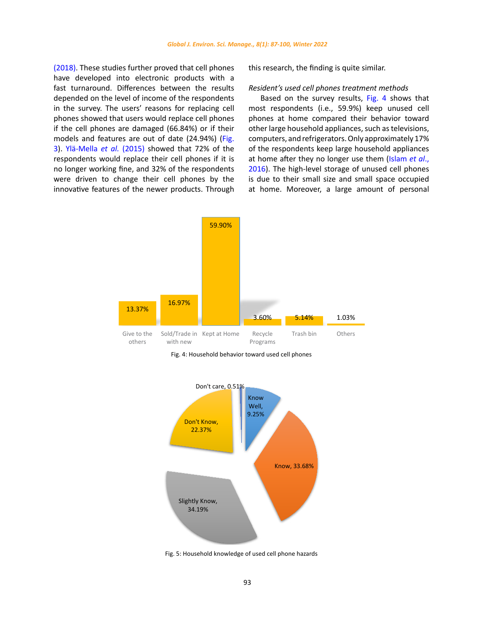<span id="page-6-0"></span>[\(2018\)](#page-11-0). These studies further proved that cell phones have developed into electronic products with a fast turnaround. Differences between the results depended on the level of income of the respondents in the survey. The users' reasons for replacing cell phones showed that users would replace cell phones if the cell phones are damaged (66.84%) or if their models and features are out of date (24.94%) [\(Fig.](#page-5-0)  [3](#page-5-0)). [Ylä-Mella](#page-11-0) *et al.* (2015) showed that 72% of the respondents would replace their cell phones if it is no longer working fine, and 32% of the respondents were driven to change their cell phones by the innovative features of the newer products. Through this research, the finding is quite similar.

#### *Resident's used cell phones treatment methods*

Based on the survey results, Fig. 4 shows that most respondents (i.e., 59.9%) keep unused cell phones at home compared their behavior toward other large household appliances, such as televisions, computers, and refrigerators. Only approximately 17% of the respondents keep large household appliances at home after they no longer use them ([Islam](#page-11-0) *et al*., [2016](#page-11-0)). The high-level storage of unused cell phones is due to their small size and small space occupied at home. Moreover, a large amount of personal



Fig. 4: Household behavior toward used cell phones



Fig. 5: Household knowledge of used cell phone hazards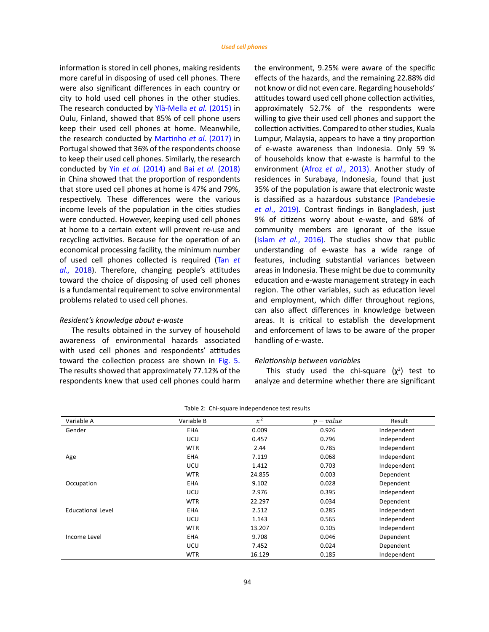<span id="page-7-0"></span>information is stored in cell phones, making residents more careful in disposing of used cell phones. There were also significant differences in each country or city to hold used cell phones in the other studies. The research conducted by [Ylä-Mella](#page-11-0) *et al.* (2015) in Oulu, Finland, showed that 85% of cell phone users keep their used cell phones at home. Meanwhile, the research conducted by [Martinho](#page-11-0) *et al.* (2017) in Portugal showed that 36% of the respondents choose to keep their used cell phones. Similarly, the research conducted by Yin *et al.* [\(2014\)](#page-11-0) and Bai *et al.* [\(2018\)](#page-11-0) in China showed that the proportion of respondents that store used cell phones at home is 47% and 79%, respectively. These differences were the various income levels of the population in the cities studies were conducted. However, keeping used cell phones at home to a certain extent will prevent re-use and recycling activities. Because for the operation of an economical processing facility, the minimum number of used cell phones collected is required [\(Tan](#page-11-0) *et al.,* [2018](#page-11-0)). Therefore, changing people's attitudes toward the choice of disposing of used cell phones is a fundamental requirement to solve environmental problems related to used cell phones.

## *Resident's knowledge about e-waste*

The results obtained in the survey of household awareness of environmental hazards associated with used cell phones and respondents' attitudes toward the collection process are shown in [Fig. 5.](#page-6-0) The results showed that approximately 77.12% of the respondents knew that used cell phones could harm the environment, 9.25% were aware of the specific effects of the hazards, and the remaining 22.88% did not know or did not even care. Regarding households' attitudes toward used cell phone collection activities, approximately 52.7% of the respondents were willing to give their used cell phones and support the collection activities. Compared to other studies, Kuala Lumpur, Malaysia, appears to have a tiny proportion of e-waste awareness than Indonesia. Only 59 % of households know that e-waste is harmful to the environment (Afroz *et al*[., 2013\).](#page-11-0) Another study of residences in Surabaya, Indonesia, found that just 35% of the population is aware that electronic waste is classified as a hazardous substance [\(Pandebesie](#page-11-0) *et al*[., 2019\)](#page-11-0). Contrast findings in Bangladesh, just 9% of citizens worry about e-waste, and 68% of community members are ignorant of the issue (Islam *et al.*[, 2016\).](#page-11-0) The studies show that public understanding of e-waste has a wide range of features, including substantial variances between areas in Indonesia. These might be due to community education and e-waste management strategy in each region. The other variables, such as education level and employment, which differ throughout regions, can also affect differences in knowledge between areas. It is critical to establish the development and enforcement of laws to be aware of the proper handling of e-waste.

## *Relationship between variables*

This study used the chi-square  $(\chi^2)$  test to analyze and determine whether there are significant

| Variable A               | Variable B | $x^2$  | $p-value$ | Result      |
|--------------------------|------------|--------|-----------|-------------|
| Gender                   | <b>EHA</b> | 0.009  | 0.926     | Independent |
|                          | <b>UCU</b> | 0.457  | 0.796     | Independent |
|                          | <b>WTR</b> | 2.44   | 0.785     | Independent |
| Age                      | <b>EHA</b> | 7.119  | 0.068     | Independent |
|                          | UCU        | 1.412  | 0.703     | Independent |
|                          | <b>WTR</b> | 24.855 | 0.003     | Dependent   |
| Occupation               | EHA        | 9.102  | 0.028     | Dependent   |
|                          | UCU        | 2.976  | 0.395     | Independent |
|                          | <b>WTR</b> | 22.297 | 0.034     | Dependent   |
| <b>Educational Level</b> | EHA        | 2.512  | 0.285     | Independent |
|                          | <b>UCU</b> | 1.143  | 0.565     | Independent |
|                          | <b>WTR</b> | 13.207 | 0.105     | Independent |
| Income Level             | <b>EHA</b> | 9.708  | 0.046     | Dependent   |
|                          | UCU        | 7.452  | 0.024     | Dependent   |
|                          | <b>WTR</b> | 16.129 | 0.185     | Independent |

|  |  | Table 2: Chi-square independence test results |  |  |
|--|--|-----------------------------------------------|--|--|
|--|--|-----------------------------------------------|--|--|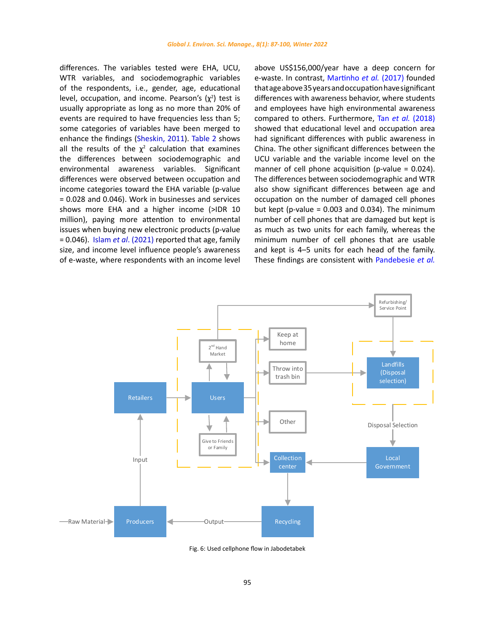<span id="page-8-0"></span>differences. The variables tested were EHA, UCU, WTR variables, and sociodemographic variables of the respondents, i.e., gender, age, educational level, occupation, and income. Pearson's  $(\chi^2)$  test is usually appropriate as long as no more than 20% of events are required to have frequencies less than 5; some categories of variables have been merged to enhance the findings [\(Sheskin, 2011\)](#page-11-0). [Table 2](#page-7-0) shows all the results of the  $\chi^2$  calculation that examines the differences between sociodemographic and environmental awareness variables. Significant differences were observed between occupation and income categories toward the EHA variable (p-value = 0.028 and 0.046). Work in businesses and services shows more EHA and a higher income (>IDR 10 million), paying more attention to environmental issues when buying new electronic products (p-value = 0.046). Islam *et al*[. \(2021\)](#page-11-0) reported that age, family size, and income level influence people's awareness of e-waste, where respondents with an income level

above US\$156,000/year have a deep concern for e-waste. In contrast[, Martinho](#page-11-0) *et al.* (2017) founded that age above 35 years and occupation have significant differences with awareness behavior, where students and employees have high environmental awareness compared to others. Furthermore, Tan *et al.* [\(2018\)](#page-11-0) showed that educational level and occupation area had significant differences with public awareness in China. The other significant differences between the UCU variable and the variable income level on the manner of cell phone acquisition (p-value = 0.024). The differences between sociodemographic and WTR also show significant differences between age and occupation on the number of damaged cell phones but kept (p-value =  $0.003$  and  $0.034$ ). The minimum number of cell phones that are damaged but kept is as much as two units for each family, whereas the minimum number of cell phones that are usable and kept is 4–5 units for each head of the family. These findings are consistent with [Pandebesie](#page-11-0) *et al.*



Fig. 6: Used cellphone flow in Jabodetabek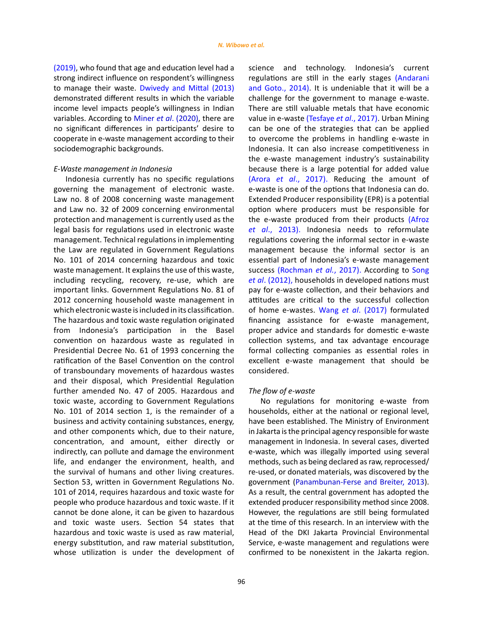[\(2019\)](#page-11-0), who found that age and education level had a strong indirect influence on respondent's willingness to manage their waste. [Dwivedy and Mittal \(2013\)](#page-11-0) demonstrated different results in which the variable income level impacts people's willingness in Indian variables. According to Miner *et al*[. \(2020\),](#page-11-0) there are no significant differences in participants' desire to cooperate in e-waste management according to their sociodemographic backgrounds.

## *E-Waste management in Indonesia*

Indonesia currently has no specific regulations governing the management of electronic waste. Law no. 8 of 2008 concerning waste management and Law no. 32 of 2009 concerning environmental protection and management is currently used as the legal basis for regulations used in electronic waste management. Technical regulations in implementing the Law are regulated in Government Regulations No. 101 of 2014 concerning hazardous and toxic waste management. It explains the use of this waste, including recycling, recovery, re-use, which are important links. Government Regulations No. 81 of 2012 concerning household waste management in which electronic waste is included in its classification. The hazardous and toxic waste regulation originated from Indonesia's participation in the Basel convention on hazardous waste as regulated in Presidential Decree No. 61 of 1993 concerning the ratification of the Basel Convention on the control of transboundary movements of hazardous wastes and their disposal, which Presidential Regulation further amended No. 47 of 2005. Hazardous and toxic waste, according to Government Regulations No. 101 of 2014 section 1, is the remainder of a business and activity containing substances, energy, and other components which, due to their nature, concentration, and amount, either directly or indirectly, can pollute and damage the environment life, and endanger the environment, health, and the survival of humans and other living creatures. Section 53, written in Government Regulations No. 101 of 2014, requires hazardous and toxic waste for people who produce hazardous and toxic waste. If it cannot be done alone, it can be given to hazardous and toxic waste users. Section 54 states that hazardous and toxic waste is used as raw material, energy substitution, and raw material substitution, whose utilization is under the development of science and technology. Indonesia's current regulations are still in the early stages [\(Andarani](#page-11-0) [and Goto., 2014\).](#page-11-0) It is undeniable that it will be a challenge for the government to manage e-waste. There are still valuable metals that have economic value in e-wast[e \(Tesfaye](#page-11-0) *et al*., 2017). Urban Mining can be one of the strategies that can be applied to overcome the problems in handling e-waste in Indonesia. It can also increase competitiveness in the e-waste management industry's sustainability because there is a large potential for added value (Arora *et al*[., 2017\)](#page-11-0). Reducing the amount of e-waste is one of the options that Indonesia can do. Extended Producer responsibility (EPR) is a potential option where producers must be responsible for the e-waste produced from their products [\(Afroz](#page-11-0) *et al*[., 2013\)](#page-11-0). Indonesia needs to reformulate regulations covering the informal sector in e-waste management because the informal sector is an essential part of Indonesia's e-waste management success [\(Rochman](#page-11-0) *et al.*, 2017). According to [Song](#page-11-0) *et al*[. \(2012\),](#page-11-0) households in developed nations must pay for e-waste collection, and their behaviors and attitudes are critical to the successful collection of home e-wastes. Wang *et al*[. \(2017\)](#page-11-0) formulated financing assistance for e-waste management, proper advice and standards for domestic e-waste collection systems, and tax advantage encourage formal collecting companies as essential roles in excellent e-waste management that should be considered.

#### *The flow of e-waste*

No regulations for monitoring e-waste from households, either at the national or regional level, have been established. The Ministry of Environment in Jakarta is the principal agency responsible for waste management in Indonesia. In several cases, diverted e-waste, which was illegally imported using several methods, such as being declared as raw, reprocessed/ re-used, or donated materials, was discovered by the government [\(Panambunan-Ferse and Breiter, 2013\).](#page-11-0) As a result, the central government has adopted the extended producer responsibility method since 2008. However, the regulations are still being formulated at the time of this research. In an interview with the Head of the DKI Jakarta Provincial Environmental Service, e-waste management and regulations were confirmed to be nonexistent in the Jakarta region.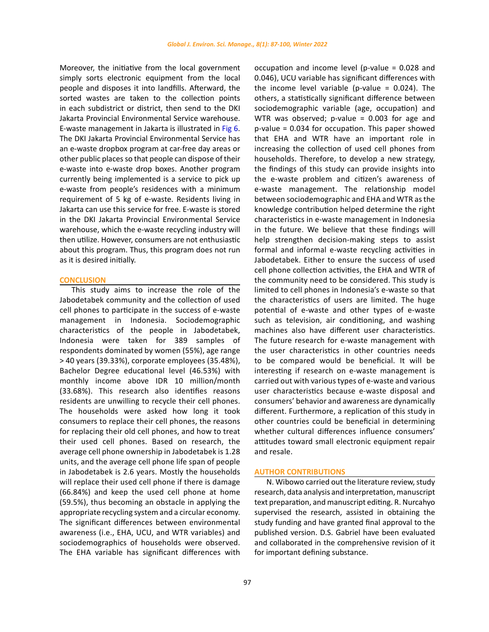Moreover, the initiative from the local government simply sorts electronic equipment from the local people and disposes it into landfills. Afterward, the sorted wastes are taken to the collection points in each subdistrict or district, then send to the DKI Jakarta Provincial Environmental Service warehouse. E-waste management in Jakarta is illustrated in [Fig 6.](#page-8-0)  The DKI Jakarta Provincial Environmental Service has an e-waste dropbox program at car-free day areas or other public places so that people can dispose of their e-waste into e-waste drop boxes. Another program currently being implemented is a service to pick up e-waste from people's residences with a minimum requirement of 5 kg of e-waste. Residents living in Jakarta can use this service for free. E-waste is stored in the DKI Jakarta Provincial Environmental Service warehouse, which the e-waste recycling industry will then utilize. However, consumers are not enthusiastic about this program. Thus, this program does not run as it is desired initially.

#### **CONCLUSION**

This study aims to increase the role of the Jabodetabek community and the collection of used cell phones to participate in the success of e-waste management in Indonesia. Sociodemographic characteristics of the people in Jabodetabek, Indonesia were taken for 389 samples of respondents dominated by women (55%), age range > 40 years (39.33%), corporate employees (35.48%), Bachelor Degree educational level (46.53%) with monthly income above IDR 10 million/month (33.68%). This research also identifies reasons residents are unwilling to recycle their cell phones. The households were asked how long it took consumers to replace their cell phones, the reasons for replacing their old cell phones, and how to treat their used cell phones. Based on research, the average cell phone ownership in Jabodetabek is 1.28 units, and the average cell phone life span of people in Jabodetabek is 2.6 years. Mostly the households will replace their used cell phone if there is damage (66.84%) and keep the used cell phone at home (59.5%), thus becoming an obstacle in applying the appropriate recycling system and a circular economy. The significant differences between environmental awareness (i.e., EHA, UCU, and WTR variables) and sociodemographics of households were observed. The EHA variable has significant differences with

occupation and income level (p-value = 0.028 and 0.046), UCU variable has significant differences with the income level variable (p-value  $= 0.024$ ). The others, a statistically significant difference between sociodemographic variable (age, occupation) and WTR was observed; p-value = 0.003 for age and p-value = 0.034 for occupation. This paper showed that EHA and WTR have an important role in increasing the collection of used cell phones from households. Therefore, to develop a new strategy, the findings of this study can provide insights into the e-waste problem and citizen's awareness of e-waste management. The relationship model between sociodemographic and EHA and WTR as the knowledge contribution helped determine the right characteristics in e-waste management in Indonesia in the future. We believe that these findings will help strengthen decision-making steps to assist formal and informal e-waste recycling activities in Jabodetabek. Either to ensure the success of used cell phone collection activities, the EHA and WTR of the community need to be considered. This study is limited to cell phones in Indonesia's e-waste so that the characteristics of users are limited. The huge potential of e-waste and other types of e-waste such as television, air conditioning, and washing machines also have different user characteristics. The future research for e-waste management with the user characteristics in other countries needs to be compared would be beneficial. It will be interesting if research on e-waste management is carried out with various types of e-waste and various user characteristics because e-waste disposal and consumers' behavior and awareness are dynamically different. Furthermore, a replication of this study in other countries could be beneficial in determining whether cultural differences influence consumers' attitudes toward small electronic equipment repair and resale.

#### **AUTHOR CONTRIBUTIONS**

N. Wibowo carried out the literature review, study research, data analysis and interpretation, manuscript text preparation, and manuscript editing. R. Nurcahyo supervised the research, assisted in obtaining the study funding and have granted final approval to the published version. D.S. Gabriel have been evaluated and collaborated in the comprehensive revision of it for important defining substance.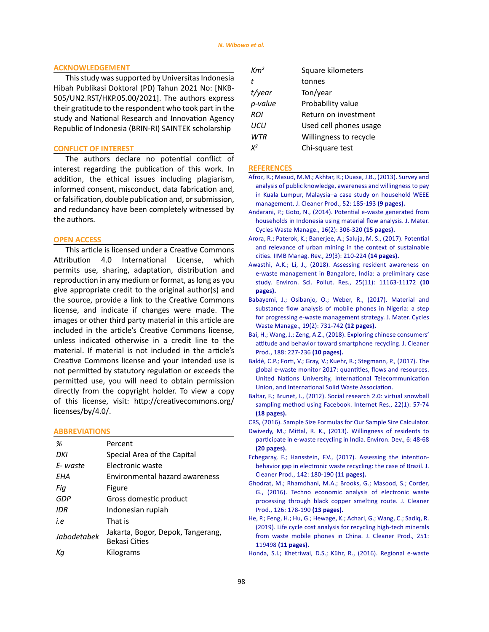## <span id="page-11-0"></span>**ACKNOWLEDGEMENT**

This study was supported by Universitas Indonesia Hibah Publikasi Doktoral (PD) Tahun 2021 No: [NKB-505/UN2.RST/HKP.05.00/2021]. The authors express their gratitude to the respondent who took part in the study and National Research and Innovation Agency Republic of Indonesia (BRIN-RI) SAINTEK scholarship

#### **CONFLICT OF INTEREST**

The authors declare no potential conflict of interest regarding the publication of this work. In addition, the ethical issues including plagiarism, informed consent, misconduct, data fabrication and, or falsification, double publication and, or submission, and redundancy have been completely witnessed by the authors.

## **OPEN ACCESS**

This article is licensed under a Creative Commons Attribution 4.0 International License, which permits use, sharing, adaptation, distribution and reproduction in any medium or format, as long as you give appropriate credit to the original author(s) and the source, provide a link to the Creative Commons license, and indicate if changes were made. The images or other third party material in this article are included in the article's Creative Commons license, unless indicated otherwise in a credit line to the material. If material is not included in the article's Creative Commons license and your intended use is not permitted by statutory regulation or exceeds the permitted use, you will need to obtain permission directly from the copyright holder. To view a copy of this license, visit: http://creativecommons.org/ licenses/by/4.0/.

## **ABBREVIATIONS**

| %           | Percent                                                   |
|-------------|-----------------------------------------------------------|
| DKI         | Special Area of the Capital                               |
| F-waste     | Electronic waste                                          |
| FHA         | Environmental hazard awareness                            |
| Fiq         | Figure                                                    |
| GDP         | Gross domestic product                                    |
| IDR         | Indonesian rupiah                                         |
| i.e         | That is                                                   |
| Jabodetabek | Jakarta, Bogor, Depok, Tangerang,<br><b>Bekasi Cities</b> |
| Кa          | Kilograms                                                 |

| Km <sup>2</sup> | Square kilometers      |
|-----------------|------------------------|
| t               | tonnes                 |
| t/year          | Ton/year               |
| p-value         | Probability value      |
| <b>ROI</b>      | Return on investment   |
| UCU             | Used cell phones usage |
| <b>WTR</b>      | Willingness to recycle |
| γ2              | Chi-square test        |

## **REFERENCES**

- [Afroz, R.; Masud, M.M.; Akhtar, R.; Duasa, J.B., \(2013\). Survey and](https://www.sciencedirect.com/science/article/pii/S095965261300053X) [analysis of public knowledge, awareness and willingness to pay](https://www.sciencedirect.com/science/article/pii/S095965261300053X) [in Kuala Lumpur, Malaysia–a case study on household WEEE](https://www.sciencedirect.com/science/article/pii/S095965261300053X) [management. J. Cleaner Prod., 52: 185-193](https://www.sciencedirect.com/science/article/pii/S095965261300053X) **(9 pages).**
- [Andarani, P.; Goto, N., \(2014\). Potential e-waste generated from](https://link.springer.com/article/10.1007/s10163-013-0191-0) [households in Indonesia using material flow analysis. J. Mater.](https://link.springer.com/article/10.1007/s10163-013-0191-0) [Cycles Waste Manage., 16\(2\): 306-320](https://link.springer.com/article/10.1007/s10163-013-0191-0) **(15 pages).**
- [Arora, R.; Paterok, K.; Banerjee, A.; Saluja, M. S., \(2017\). Potential](https://www.sciencedirect.com/science/article/pii/S0970389617303294) [and relevance of urban mining in the context of sustainable](https://www.sciencedirect.com/science/article/pii/S0970389617303294) [cities. IIMB Manag. Rev., 29\(3\): 210-224](https://www.sciencedirect.com/science/article/pii/S0970389617303294) **(14 pages).**
- [Awasthi, A.K.; Li, J., \(2018\). Assessing resident awareness on](https://link.springer.com/article/10.1007%2Fs11356-017-1037-4) [e-waste management in Bangalore, India: a preliminary case](https://link.springer.com/article/10.1007%2Fs11356-017-1037-4) [study. Environ. Sci. Pollut. Res., 25\(11\): 11163-11172](https://link.springer.com/article/10.1007%2Fs11356-017-1037-4) **(10 [pages\).](https://link.springer.com/article/10.1007%2Fs11356-017-1037-4)**
- [Babayemi, J.; Osibanjo, O.; Weber, R., \(2017\). Material and](https://link.springer.com/article/10.1007%2Fs10163-016-0472-5) [substance flow analysis of mobile phones in Nigeria: a step](https://link.springer.com/article/10.1007%2Fs10163-016-0472-5) [for progressing e-waste management strategy. J. Mater. Cycles](https://link.springer.com/article/10.1007%2Fs10163-016-0472-5) [Waste Manage., 19\(2\): 731-742](https://link.springer.com/article/10.1007%2Fs10163-016-0472-5) **(12 pages).**
- [Bai, H.; Wang, J.; Zeng, A.Z., \(2018\). Exploring chinese consumers'](https://www.sciencedirect.com/science/article/abs/pii/S095965261830934X) [attitude and behavior toward smartphone recycling. J. Cleaner](https://www.sciencedirect.com/science/article/abs/pii/S095965261830934X) [Prod., 188: 227-236](https://www.sciencedirect.com/science/article/abs/pii/S095965261830934X) **(10 pages).**
- [Baldé, C.P.; Forti, V.; Gray, V.; Kuehr, R.; Stegmann, P., \(2017\). The](http://collections.unu.edu/view/UNU:6341) [global e-waste monitor 2017: quantities, flows and resources.](http://collections.unu.edu/view/UNU:6341) [United Nations University, International Telecommunication](http://collections.unu.edu/view/UNU:6341) [Union, and International Solid Waste Association.](http://collections.unu.edu/view/UNU:6341)
- [Baltar, F.; Brunet, I., \(2012\). Social research 2.0: virtual snowball](https://www.emerald.com/insight/content/doi/10.1108/10662241211199960) [sampling method using Facebook. Internet Res., 22\(1\): 57-74](https://www.emerald.com/insight/content/doi/10.1108/10662241211199960) **[\(18 pages\).](https://www.emerald.com/insight/content/doi/10.1108/10662241211199960)**

[CRS, \(2016\). Sample Size Formulas for Our Sample Size Calculator](https://www.surveysystem.com/sample-size-formula  Last accessed November 2020  ).

- [Dwivedy, M.; Mittal, R. K., \(2013\). Willingness of residents to](https://www.sciencedirect.com/science/article/abs/pii/S2211464513000262) [participate in e-waste recycling in India. Environ. Dev., 6: 48-68](https://www.sciencedirect.com/science/article/abs/pii/S2211464513000262) **[\(20 pages\).](https://www.sciencedirect.com/science/article/abs/pii/S2211464513000262)**
- [Echegaray, F.; Hansstein, F.V., \(2017\). Assessing the intention](https://www.sciencedirect.com/science/article/abs/pii/S0959652616305285)[behavior gap in electronic waste recycling: the case of Brazil. J.](https://www.sciencedirect.com/science/article/abs/pii/S0959652616305285) [Cleaner Prod., 142: 180-190](https://www.sciencedirect.com/science/article/abs/pii/S0959652616305285) **(11 pages).**
- [Ghodrat, M.; Rhamdhani, M.A.; Brooks, G.; Masood, S.; Corder,](https://www.sciencedirect.com/science/article/abs/pii/S0959652616301007) [G., \(2016\). Techno economic analysis of electronic waste](https://www.sciencedirect.com/science/article/abs/pii/S0959652616301007) [processing through black copper smelting route. J. Cleaner](https://www.sciencedirect.com/science/article/abs/pii/S0959652616301007) [Prod., 126: 178-190](https://www.sciencedirect.com/science/article/abs/pii/S0959652616301007) **(13 pages).**
- [He, P.; Feng, H.; Hu, G.; Hewage, K.; Achari, G.; Wang, C.; Sadiq, R.](https://www.sciencedirect.com/science/article/pii/S0959652619343689) [\(2019\). Life cycle cost analysis for recycling high-tech minerals](https://www.sciencedirect.com/science/article/pii/S0959652619343689) [from waste mobile phones in China. J. Cleaner Prod., 251:](https://www.sciencedirect.com/science/article/pii/S0959652619343689) 119498 **[\(11 pages\).](https://www.sciencedirect.com/science/article/pii/S0959652619343689)**

[Honda, S.I.; Khetriwal, D.S.; Kühr, R., \(2016\). Regional e-waste](https://collections.unu.edu/eserv/UNU:6348/Regional_E-waste_Monitor_Easr_Southeast_Asia_low.pdf)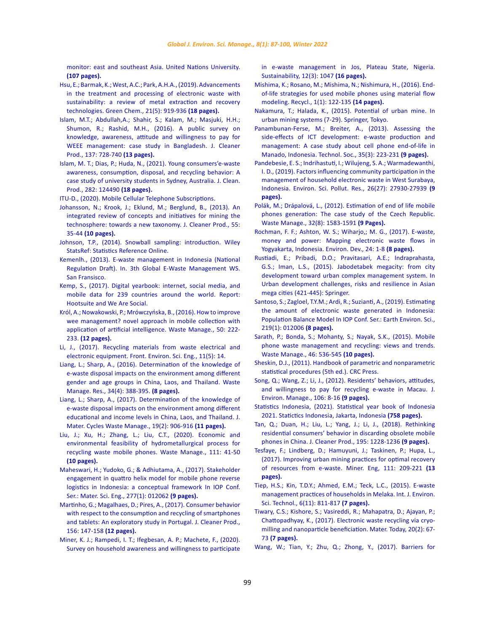[monitor: east and southeast Asia. United Nations University.](https://collections.unu.edu/eserv/UNU:6348/Regional_E-waste_Monitor_Easr_Southeast_Asia_low.pdf)  **[\(107 pages\).](https://collections.unu.edu/eserv/UNU:6348/Regional_E-waste_Monitor_Easr_Southeast_Asia_low.pdf)**

[Hsu, E.; Barmak, K.; West, A.C.; Park, A.H.A., \(2019\). Advancements](https://pubs.rsc.org/en/content/articlelanding/2019/GC/C8GC03688H)  [in the treatment and processing of electronic waste with](https://pubs.rsc.org/en/content/articlelanding/2019/GC/C8GC03688H)  [sustainability: a review of metal extraction and recovery](https://pubs.rsc.org/en/content/articlelanding/2019/GC/C8GC03688H)  [technologies. Green Chem., 21\(5\): 919-936](https://pubs.rsc.org/en/content/articlelanding/2019/GC/C8GC03688H) **(18 pages).**

- [Islam, M.T.; Abdullah,A.; Shahir, S.; Kalam, M.; Masjuki, H.H.;](https://www.sciencedirect.com/science/article/abs/pii/S0959652616310071)  [Shumon, R.; Rashid, M.H., \(2016\). A public survey on](https://www.sciencedirect.com/science/article/abs/pii/S0959652616310071)  [knowledge, awareness, attitude and willingness to pay for](https://www.sciencedirect.com/science/article/abs/pii/S0959652616310071)  [WEEE management: case study in Bangladesh. J. Cleaner](https://www.sciencedirect.com/science/article/abs/pii/S0959652616310071)  [Prod., 137: 728-740](https://www.sciencedirect.com/science/article/abs/pii/S0959652616310071) **(13 pages).**
- [Islam, M. T.; Dias, P.; Huda, N., \(2021\). Young consumers'e-waste](https://www.sciencedirect.com/science/article/abs/pii/S0959652620345340)  [awareness, consumption, disposal, and recycling behavior: A](https://www.sciencedirect.com/science/article/abs/pii/S0959652620345340)  [case study of university students in Sydney, Australia. J. Clean.](https://www.sciencedirect.com/science/article/abs/pii/S0959652620345340)  [Prod., 282: 124490](https://www.sciencedirect.com/science/article/abs/pii/S0959652620345340) **(18 pages).**

[ITU-D., \(2020\). Mobile Cellular Telephone Subscriptions.](https://itu.int/en/ITU-D/Statistics/Documents/statistics/2019/Mobile_cellular_2000-2018_Dec2019.xls)

- [Johansson, N.; Krook, J.; Eklund, M.; Berglund, B., \(2013\). An](https://www.sciencedirect.com/science/article/abs/pii/S0959652612001941)  [integrated review of concepts and initiatives for mining the](https://www.sciencedirect.com/science/article/abs/pii/S0959652612001941)  [technosphere: towards a new taxonomy. J. Cleaner Prod., 55:](https://www.sciencedirect.com/science/article/abs/pii/S0959652612001941)  35-44 **[\(10 pages\).](https://www.sciencedirect.com/science/article/abs/pii/S0959652612001941)**
- [Johnson, T.P., \(2014\). Snowball sampling: introduction. Wiley](https://onlinelibrary.wiley.com/doi/10.1002/9781118445112.stat05720)  [StatsRef: Statistics Reference Online.](https://onlinelibrary.wiley.com/doi/10.1002/9781118445112.stat05720)
- [Kemenlh., \(2013\). E-waste management in Indonesia \(National](https://www.epa.gov/sites/production/files/2014-05/documents/indonesia.pdf)  [Regulation Draft\). In. 3th Global E-Waste Management WS.](https://www.epa.gov/sites/production/files/2014-05/documents/indonesia.pdf)  [San Fransisco.](https://www.epa.gov/sites/production/files/2014-05/documents/indonesia.pdf)
- [Kemp, S., \(2017\). Digital yearbook: internet, social media, and](https://wearesocial.com/special-reports/digital-in-2017-global-overview)  [mobile data for 239 countries around the world. Report:](https://wearesocial.com/special-reports/digital-in-2017-global-overview)  [Hootsuite and We Are Social.](https://wearesocial.com/special-reports/digital-in-2017-global-overview)
- [Król, A.; Nowakowski, P.; Mrówczyńska, B., \(2016\). How to improve](https://www.sciencedirect.com/science/article/abs/pii/S0956053X16300800)  [wee management? novel approach in mobile collection with](https://www.sciencedirect.com/science/article/abs/pii/S0956053X16300800)  [application of artificial intelligence. Waste Manage., 50: 222-](https://www.sciencedirect.com/science/article/abs/pii/S0956053X16300800) 233. **[\(12 pages\).](https://www.sciencedirect.com/science/article/abs/pii/S0956053X16300800)**
- [Li, J., \(2017\). Recycling materials from waste electrical and](https://link.springer.com/article/10.1007%2Fs11783-017-1001-z)  [electronic equipment. Front. Environ. Sci. Eng., 11\(5\): 14.](https://link.springer.com/article/10.1007%2Fs11783-017-1001-z)
- [Liang, L.; Sharp, A., \(2016\). Determination of the knowledge of](https://journals.sagepub.com/doi/10.1177/0734242X16628978)  [e-waste disposal impacts on the environment among different](https://journals.sagepub.com/doi/10.1177/0734242X16628978)  [gender and age groups in China, Laos, and Thailand. Waste](https://journals.sagepub.com/doi/10.1177/0734242X16628978)  [Manage. Res., 34\(4\): 388-395.](https://journals.sagepub.com/doi/10.1177/0734242X16628978) **(8 pages).**
- [Liang, L.; Sharp, A., \(2017\). Determination of the knowledge of](https://link.springer.com/article/10.1007%2Fs10163-016-0493-0)  [e-waste disposal impacts on the environment among different](https://link.springer.com/article/10.1007%2Fs10163-016-0493-0)  [educational and income levels in China, Laos, and Thailand. J.](https://link.springer.com/article/10.1007%2Fs10163-016-0493-0)  [Mater. Cycles Waste Manage., 19\(2\): 906-916](https://link.springer.com/article/10.1007%2Fs10163-016-0493-0) **(11 pages).**
- [Liu, J.; Xu, H.; Zhang, L.; Liu, C.T., \(2020\). Economic and](https://www.sciencedirect.com/science/article/abs/pii/S0956053X20302452)  [environmental feasibility of hydrometallurgical process for](https://www.sciencedirect.com/science/article/abs/pii/S0956053X20302452)  [recycling waste mobile phones. Waste Manage., 111: 41-50](https://www.sciencedirect.com/science/article/abs/pii/S0956053X20302452)  **[\(10 pages\).](https://www.sciencedirect.com/science/article/abs/pii/S0956053X20302452)**
- [Maheswari, H.; Yudoko, G.; & Adhiutama, A., \(2017\). Stakeholder](https://iopscience.iop.org/article/10.1088/1757-899X/277/1/012062)  [engagement in quattro helix model for mobile phone reverse](https://iopscience.iop.org/article/10.1088/1757-899X/277/1/012062)  [logistics in Indonesia: a conceptual framework In IOP Conf.](https://iopscience.iop.org/article/10.1088/1757-899X/277/1/012062)  [Ser.: Mater. Sci. Eng., 277\(1\): 012062](https://iopscience.iop.org/article/10.1088/1757-899X/277/1/012062) **(9 pages).**
- [Martinho, G.; Magalhaes, D.; Pires, A., \(2017\). Consumer behavior](https://www.sciencedirect.com/science/article/abs/pii/S0959652617307473)  [with respect to the consumption and recycling of smartphones](https://www.sciencedirect.com/science/article/abs/pii/S0959652617307473)  [and tablets: An exploratory study in Portugal. J. Cleaner Prod.,](https://www.sciencedirect.com/science/article/abs/pii/S0959652617307473)  [156: 147-158](https://www.sciencedirect.com/science/article/abs/pii/S0959652617307473) **(12 pages).**
- [Miner, K. J.; Rampedi, I. T.; Ifegbesan, A. P.; Machete, F., \(2020\).](https://www.mdpi.com/2071-1050/12/3/1047)  [Survey on household awareness and willingness to participate](https://www.mdpi.com/2071-1050/12/3/1047)

[in e-waste management in Jos, Plateau State, Nigeria.](https://www.mdpi.com/2071-1050/12/3/1047) [Sustainability, 12\(3\): 1047](https://www.mdpi.com/2071-1050/12/3/1047) **(16 pages).**

- [Mishima, K.; Rosano, M.; Mishima, N.; Nishimura, H., \(2016\). End](https://www.mdpi.com/2313-4321/1/1/122)[of-life strategies for used mobile phones using material flow](https://www.mdpi.com/2313-4321/1/1/122) [modeling. Recycl., 1\(1\): 122-135](https://www.mdpi.com/2313-4321/1/1/122) **(14 pages).**
- [Nakamura, T.; Halada, K., \(2015\). Potential of urban mine. In](https://link.springer.com/book/10.1007/978-4-431-55075-4) [urban mining systems \(7-29\). Springer, Tokyo.](https://link.springer.com/book/10.1007/978-4-431-55075-4)
- [Panambunan-Ferse, M.; Breiter, A., \(2013\). Assessing the](https://www.sciencedirect.com/science/article/abs/pii/S0160791X13000286) [side-effects of ICT development: e-waste production and](https://www.sciencedirect.com/science/article/abs/pii/S0160791X13000286) [management: A case study about cell phone end-of-life in](https://www.sciencedirect.com/science/article/abs/pii/S0160791X13000286) [Manado, Indonesia. Technol. Soc., 35\(3\): 223-231](https://www.sciencedirect.com/science/article/abs/pii/S0160791X13000286) **(9 pages).**
- [Pandebesie, E. S.; Indrihastuti, I.; Wilujeng, S. A.; Warmadewanthi,](https://link.springer.com/article/10.1007/s11356-019-05812-9) [I. D., \(2019\). Factors influencing community participation in the](https://link.springer.com/article/10.1007/s11356-019-05812-9) [management of household electronic waste in West Surabaya,](https://link.springer.com/article/10.1007/s11356-019-05812-9) [Indonesia. Environ. Sci. Pollut. Res., 26\(27\): 27930-27939](https://link.springer.com/article/10.1007/s11356-019-05812-9) **(9 [pages\).](https://link.springer.com/article/10.1007/s11356-019-05812-9)**
- [Polák, M.; Drápalová, L., \(2012\). Estimation of end of life mobile](https://www.sciencedirect.com/science/article/pii/S0956053X12001390) [phones generation: The case study of the Czech Republic.](https://www.sciencedirect.com/science/article/pii/S0956053X12001390) [Waste Manage., 32\(8\): 1583-1591](https://www.sciencedirect.com/science/article/pii/S0956053X12001390) **(9 Pages).**
- [Rochman, F. F.; Ashton, W. S.; Wiharjo,; M. G., \(2017\). E-waste,](https://www.sciencedirect.com/science/article/abs/pii/S2211464516301129) [money and power: Mapping electronic waste flows in](https://www.sciencedirect.com/science/article/abs/pii/S2211464516301129) [Yogyakarta, Indonesia. Environ. Dev., 24: 1-8](https://www.sciencedirect.com/science/article/abs/pii/S2211464516301129) **(8 pages).**
- [Rustiadi, E.; Pribadi, D.O.; Pravitasari, A.E.; Indraprahasta,](https://www.springerprofessional.de/en/jabodetabek-megacity-from-city-development-toward-urban-complex-/4624044) [G.S.; Iman, L.S., \(2015\). Jabodetabek megacity: from city](https://www.springerprofessional.de/en/jabodetabek-megacity-from-city-development-toward-urban-complex-/4624044) [development toward urban complex management system. In](https://www.springerprofessional.de/en/jabodetabek-megacity-from-city-development-toward-urban-complex-/4624044) [Urban development challenges, risks and resilience in Asian](https://www.springerprofessional.de/en/jabodetabek-megacity-from-city-development-toward-urban-complex-/4624044) [mega cities \(421-445\): Springer.](https://www.springerprofessional.de/en/jabodetabek-megacity-from-city-development-toward-urban-complex-/4624044)
- [Santoso, S.; Zagloel, T.Y.M.; Ardi, R.; Suzianti, A., \(2019\). Estimating](https://iopscience.iop.org/article/10.1088/1755-1315/219/1/012006) [the amount of electronic waste generated in Indonesia:](https://iopscience.iop.org/article/10.1088/1755-1315/219/1/012006) [Population Balance Model In IOP Conf. Ser.: Earth Environ. Sci.,](https://iopscience.iop.org/article/10.1088/1755-1315/219/1/012006) [219\(1\): 012006](https://iopscience.iop.org/article/10.1088/1755-1315/219/1/012006) **(8 pages).**
- [Sarath, P.; Bonda, S.; Mohanty, S.; Nayak, S.K., \(2015\). Mobile](https://www.sciencedirect.com/science/article/abs/pii/S0956053X15301227) [phone waste management and recycling: views and trends.](https://www.sciencedirect.com/science/article/abs/pii/S0956053X15301227) [Waste Manage., 46: 536-545](https://www.sciencedirect.com/science/article/abs/pii/S0956053X15301227) **(10 pages).**
- [Sheskin, D.J., \(2011\). Handbook of parametric and nonparametric](https://www.routledge.com/Handbook-of-Parametric-and-Nonparametric-Statistical-Procedures-Fifth/Sheskin/p/book/9781439858011) [statistical procedures \(5th ed.\). CRC Press.](https://www.routledge.com/Handbook-of-Parametric-and-Nonparametric-Statistical-Procedures-Fifth/Sheskin/p/book/9781439858011)
- Song, Q.; Wang, Z.; Li, J., (2012). Residents' behaviors, attitudes, and willingness to pay for recycling e-waste in Macau. J. Environ. Manage., 106: 8-16 **(9 pages).**
- [Statistics Indonesia, \(2021\). Statistical year book of Indonesia](https://www.bps.go.id/publication/2021/02/26/938316574c78772f27e9b477/statistik-indonesia-2021) [2021. Statictics Indonesia, Jakarta, Indonesia](https://www.bps.go.id/publication/2021/02/26/938316574c78772f27e9b477/statistik-indonesia-2021) **(758 pages).**
- [Tan, Q.; Duan, H.; Liu, L.; Yang, J.; Li, J., \(2018\). Rethinking](https://www.sciencedirect.com/science/article/abs/pii/S095965261831597X) [residential consumers' behavior in discarding obsolete mobile](https://www.sciencedirect.com/science/article/abs/pii/S095965261831597X) [phones in China. J. Cleaner Prod., 195: 1228-1236](https://www.sciencedirect.com/science/article/abs/pii/S095965261831597X) **(9 pages).**
- [Tesfaye, F.; Lindberg, D.; Hamuyuni, J.; Taskinen, P.; Hupa, L.,](https://www.sciencedirect.com/science/article/abs/pii/S0892687517301644) [\(2017\). Improving urban mining practices for optimal recovery](https://www.sciencedirect.com/science/article/abs/pii/S0892687517301644) [of resources from e-waste. Miner. Eng, 111: 209-221](https://www.sciencedirect.com/science/article/abs/pii/S0892687517301644) **(13 [pages\).](https://www.sciencedirect.com/science/article/abs/pii/S0892687517301644)**
- [Tiep, H.S.; Kin, T.D.Y.; Ahmed, E.M.; Teck, L.C., \(2015\). E-waste](http://www.ijesd.org/index.php?m=content&c=index&a=show&catid=71&id=1063) [management practices of households in Melaka. Int. J. Environ.](http://www.ijesd.org/index.php?m=content&c=index&a=show&catid=71&id=1063) [Sci. Technol., 6\(11\): 811-817](http://www.ijesd.org/index.php?m=content&c=index&a=show&catid=71&id=1063) **(7 pages).**
- [Tiwary, C.S.; Kishore, S.; Vasireddi, R.; Mahapatra, D.; Ajayan, P.;](https://www.sciencedirect.com/science/article/pii/S1369702116303972) [Chattopadhyay, K., \(2017\). Electronic waste recycling via cryo](https://www.sciencedirect.com/science/article/pii/S1369702116303972)[milling and nanoparticle beneficiation. Mater. Today, 20\(2\): 67-](https://www.sciencedirect.com/science/article/pii/S1369702116303972) 73 **[\(7 pages\).](https://www.sciencedirect.com/science/article/pii/S1369702116303972)**
- [Wang, W.; Tian, Y.; Zhu, Q.; Zhong, Y., \(2017\). Barriers for](https://www.sciencedirect.com/science/article/abs/pii/S0959652617306698)